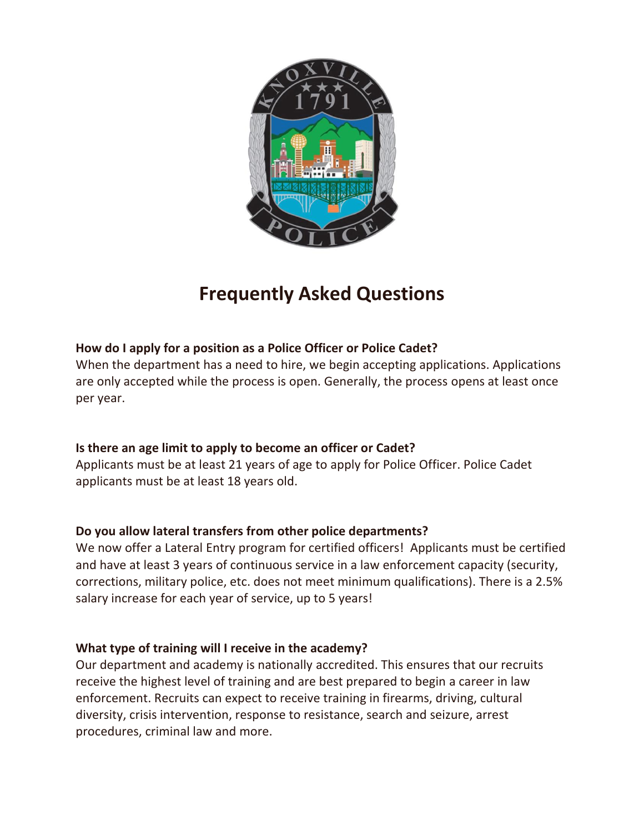

# **Frequently Asked Questions**

# **How do I apply for a position as a Police Officer or Police Cadet?**

When the department has a need to hire, we begin accepting applications. Applications are only accepted while the process is open. Generally, the process opens at least once per year.

# **Is there an age limit to apply to become an officer or Cadet?**

Applicants must be at least 21 years of age to apply for Police Officer. Police Cadet applicants must be at least 18 years old.

# **Do you allow lateral transfers from other police departments?**

We now offer a Lateral Entry program for certified officers! Applicants must be certified and have at least 3 years of continuous service in a law enforcement capacity (security, corrections, military police, etc. does not meet minimum qualifications). There is a 2.5% salary increase for each year of service, up to 5 years!

# **What type of training will I receive in the academy?**

Our department and academy is nationally accredited. This ensures that our recruits receive the highest level of training and are best prepared to begin a career in law enforcement. Recruits can expect to receive training in firearms, driving, cultural diversity, crisis intervention, response to resistance, search and seizure, arrest procedures, criminal law and more.